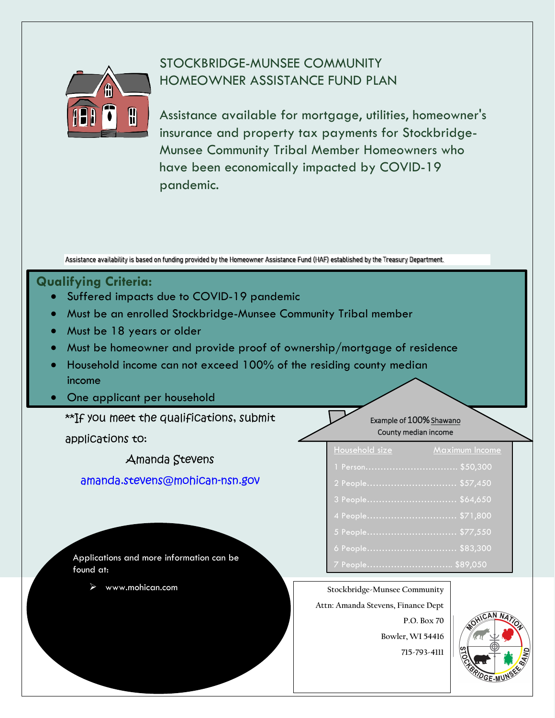# STOCKBRIDGE-MUNSEE COMMUNITY HOMEOWNER ASSISTANCE FUND PLAN



Assistance available for mortgage, utilities, homeowner's insurance and property tax payments for Stockbridge-Munsee Community Tribal Member Homeowners who have been economically impacted by COVID-19 pandemic.

Assistance availability is based on funding provided by the Homeowner Assistance Fund (HAF) established by the Treasury Department.

## **Qualifying Criteria:**

- Suffered impacts due to COVID-19 pandemic
- Must be an enrolled Stockbridge-Munsee Community Tribal member
- Must be 18 years or older
- Must be homeowner and provide proof of ownership/mortgage of residence
- Household income can not exceed 100% of the residing county median income
- One applicant per household

\*\*If you meet the qualifications, submit

applications to:

Amanda Stevens

[amanda.stevens@mohican-nsn.gov](mailto:amanda.stevens@mohican-nsn.gov) 

### Household size Maximum Income Example of 100% Shawano County median income

| 1.1               |  |
|-------------------|--|
| 1 Person \$50,300 |  |
| 2 People \$57,450 |  |
| 3 People \$64,650 |  |
|                   |  |
|                   |  |
| 6 People\$83,300  |  |
| 7 People \$89,050 |  |

Applications and more information can be found at:

## www.mohican.com **Stockbridge-Munsee Community**

**Attn: Amanda Stevens, Finance Dept** 

**P.O. Box 70 Bowler, WI 54416 715-793-4111**

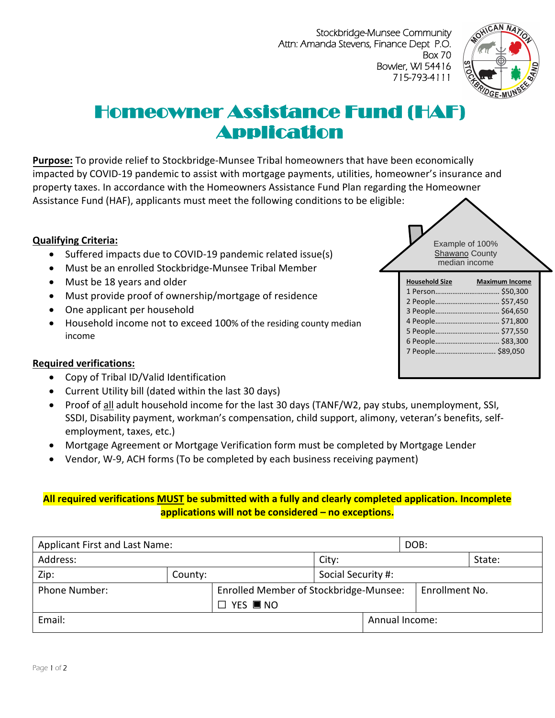Stockbridge-Munsee Community Attn: Amanda Stevens, Finance Dept P.O. Box 70 Bowler, WI 54416 715-793-4111



# Homeowner Assistance Fund (HAF) Application

**Purpose:** To provide relief to Stockbridge-Munsee Tribal homeowners that have been economically impacted by COVID-19 pandemic to assist with mortgage payments, utilities, homeowner's insurance and property taxes. In accordance with the Homeowners Assistance Fund Plan regarding the Homeowner Assistance Fund (HAF), applicants must meet the following conditions to be eligible:

#### **Qualifying Criteria:**

- Suffered impacts due to COVID-19 pandemic related issue(s)
- Must be an enrolled Stockbridge-Munsee Tribal Member
- Must be 18 years and older
- Must provide proof of ownership/mortgage of residence
- One applicant per household
- Household income not to exceed 100% of the residing county median income

#### **Required verifications:**

- Copy of Tribal ID/Valid Identification
- Current Utility bill (dated within the last 30 days)
- Proof of all adult household income for the last 30 days (TANF/W2, pay stubs, unemployment, SSI, SSDI, Disability payment, workman's compensation, child support, alimony, veteran's benefits, selfemployment, taxes, etc.)
- Mortgage Agreement or Mortgage Verification form must be completed by Mortgage Lender
- Vendor, W-9, ACH forms (To be completed by each business receiving payment)

## **All required verifications MUST be submitted with a fully and clearly completed application. Incomplete applications will not be considered – no exceptions.**

| Applicant First and Last Name: |         |                                        |                    | DOB:           |                |  |
|--------------------------------|---------|----------------------------------------|--------------------|----------------|----------------|--|
| Address:                       |         |                                        | City:              |                | State:         |  |
| Zip:                           | County: |                                        | Social Security #: |                |                |  |
| <b>Phone Number:</b>           |         | Enrolled Member of Stockbridge-Munsee: |                    | Enrollment No. |                |  |
|                                |         | $\Box$ YES $\blacksquare$ NO           |                    |                |                |  |
| Email:                         |         |                                        |                    |                | Annual Income: |  |

Example of 100% Shawano County median income

| <b>Household Size</b> | <b>Maximum Income</b> |
|-----------------------|-----------------------|
|                       | 1 Person \$50.300     |
|                       |                       |
|                       |                       |
|                       |                       |
|                       |                       |
|                       |                       |
| 7 People \$89,050     |                       |
|                       |                       |
|                       |                       |